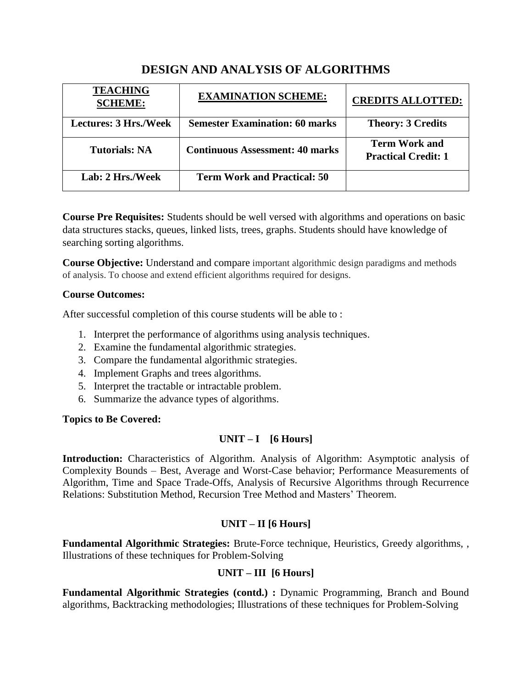# **DESIGN AND ANALYSIS OF ALGORITHMS**

| <b>TEACHING</b><br><b>SCHEME:</b> | <b>EXAMINATION SCHEME:</b>             | <b>CREDITS ALLOTTED:</b>                           |
|-----------------------------------|----------------------------------------|----------------------------------------------------|
| <b>Lectures: 3 Hrs./Week</b>      | <b>Semester Examination: 60 marks</b>  | <b>Theory: 3 Credits</b>                           |
| <b>Tutorials: NA</b>              | <b>Continuous Assessment: 40 marks</b> | <b>Term Work and</b><br><b>Practical Credit: 1</b> |
| Lab: 2 Hrs./Week                  | <b>Term Work and Practical: 50</b>     |                                                    |

**Course Pre Requisites:** Students should be well versed with algorithms and operations on basic data structures stacks, queues, linked lists, trees, graphs. Students should have knowledge of searching sorting algorithms.

**Course Objective:** Understand and compare important algorithmic design paradigms and methods of analysis. To choose and extend efficient algorithms required for designs.

## **Course Outcomes:**

After successful completion of this course students will be able to :

- 1. Interpret the performance of algorithms using analysis techniques.
- 2. Examine the fundamental algorithmic strategies.
- 3. Compare the fundamental algorithmic strategies.
- 4. Implement Graphs and trees algorithms.
- 5. Interpret the tractable or intractable problem.
- 6. Summarize the advance types of algorithms.

#### **Topics to Be Covered:**

## **UNIT – I [6 Hours]**

**Introduction:** Characteristics of Algorithm. Analysis of Algorithm: Asymptotic analysis of Complexity Bounds – Best, Average and Worst-Case behavior; Performance Measurements of Algorithm, Time and Space Trade-Offs, Analysis of Recursive Algorithms through Recurrence Relations: Substitution Method, Recursion Tree Method and Masters' Theorem.

## **UNIT – II [6 Hours]**

**Fundamental Algorithmic Strategies:** Brute-Force technique, Heuristics, Greedy algorithms, , Illustrations of these techniques for Problem-Solving

## **UNIT – III [6 Hours]**

**Fundamental Algorithmic Strategies (contd.) :** Dynamic Programming, Branch and Bound algorithms, Backtracking methodologies; Illustrations of these techniques for Problem-Solving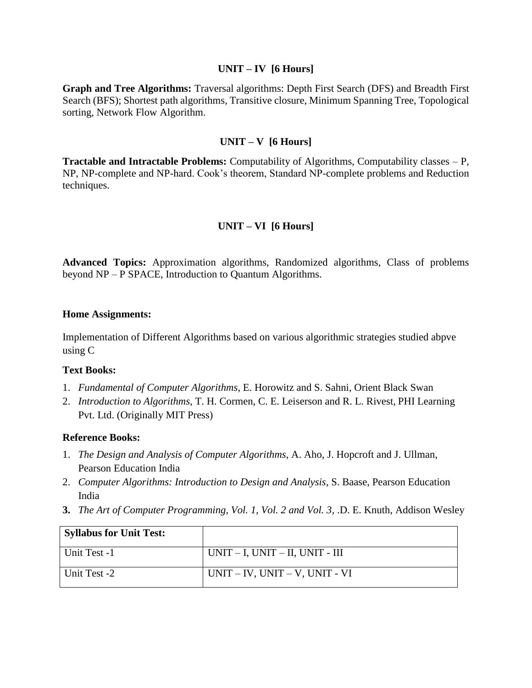#### **UNIT – IV [6 Hours]**

**Graph and Tree Algorithms:** Traversal algorithms: Depth First Search (DFS) and Breadth First Search (BFS); Shortest path algorithms, Transitive closure, Minimum Spanning Tree, Topological sorting, Network Flow Algorithm.

## **UNIT – V [6 Hours]**

**Tractable and Intractable Problems:** Computability of Algorithms, Computability classes – P, NP, NP-complete and NP-hard. Cook's theorem, Standard NP-complete problems and Reduction techniques.

## **UNIT – VI [6 Hours]**

**Advanced Topics:** Approximation algorithms, Randomized algorithms, Class of problems beyond NP – P SPACE, Introduction to Quantum Algorithms.

#### **Home Assignments:**

Implementation of Different Algorithms based on various algorithmic strategies studied abpve using C

#### **Text Books:**

- 1. *Fundamental of Computer Algorithms*, E. Horowitz and S. Sahni, Orient Black Swan
- 2. *Introduction to Algorithms*, T. H. Cormen, C. E. Leiserson and R. L. Rivest, PHI Learning Pvt. Ltd. (Originally MIT Press)

#### **Reference Books:**

- 1. *The Design and Analysis of Computer Algorithms*, A. Aho, J. Hopcroft and J. Ullman, Pearson Education India
- 2. *Computer Algorithms: Introduction to Design and Analysis*, S. Baase, Pearson Education India
- **3.** *The Art of Computer Programming, Vol. 1, Vol. 2 and Vol. 3*, .D. E. Knuth, Addison Wesley

| <b>Syllabus for Unit Test:</b> |                                         |
|--------------------------------|-----------------------------------------|
| Unit Test -1                   | $UNIT - I$ , $UNIT - II$ , $UNIT - III$ |
| Unit Test -2                   | $UNIT - IV$ , $UNIT - V$ , $UNIT - VI$  |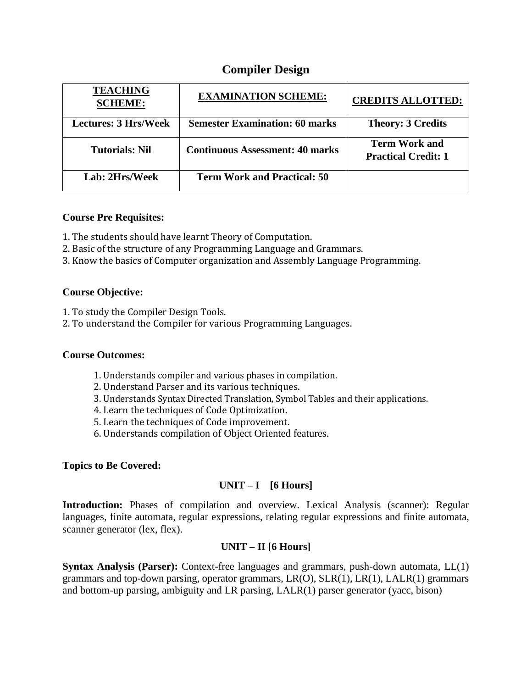# **Compiler Design**

| <b>TEACHING</b><br><b>SCHEME:</b> | <b>EXAMINATION SCHEME:</b>             | <b>CREDITS ALLOTTED:</b>                           |
|-----------------------------------|----------------------------------------|----------------------------------------------------|
| <b>Lectures: 3 Hrs/Week</b>       | <b>Semester Examination: 60 marks</b>  | <b>Theory: 3 Credits</b>                           |
| <b>Tutorials: Nil</b>             | <b>Continuous Assessment: 40 marks</b> | <b>Term Work and</b><br><b>Practical Credit: 1</b> |
| Lab: 2Hrs/Week                    | <b>Term Work and Practical: 50</b>     |                                                    |

## **Course Pre Requisites:**

- 1. The students should have learnt Theory of Computation.
- 2. Basic of the structure of any Programming Language and Grammars.
- 3. Know the basics of Computer organization and Assembly Language Programming.

## **Course Objective:**

- 1. To study the Compiler Design Tools.
- 2. To understand the Compiler for various Programming Languages.

#### **Course Outcomes:**

- 1. Understands compiler and various phases in compilation.
- 2. Understand Parser and its various techniques.
- 3. Understands Syntax Directed Translation, Symbol Tables and their applications.
- 4. Learn the techniques of Code Optimization.
- 5. Learn the techniques of Code improvement.
- 6. Understands compilation of Object Oriented features.

#### **Topics to Be Covered:**

## **UNIT – I [6 Hours]**

**Introduction:** Phases of compilation and overview. Lexical Analysis (scanner): Regular languages, finite automata, regular expressions, relating regular expressions and finite automata, scanner generator (lex, flex).

## **UNIT – II [6 Hours]**

**Syntax Analysis (Parser):** Context-free languages and grammars, push-down automata, LL(1) grammars and top-down parsing, operator grammars, LR(O), SLR(1), LR(1), LALR(1) grammars and bottom-up parsing, ambiguity and LR parsing, LALR(1) parser generator (yacc, bison)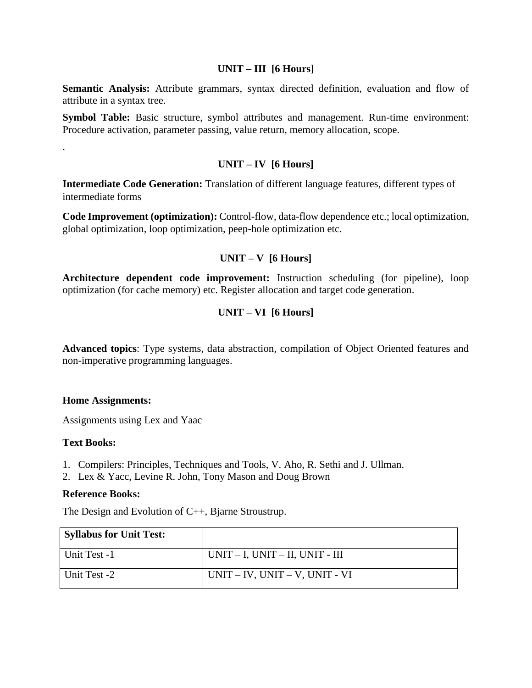#### **UNIT – III [6 Hours]**

**Semantic Analysis:** Attribute grammars, syntax directed definition, evaluation and flow of attribute in a syntax tree.

**Symbol Table:** Basic structure, symbol attributes and management. Run-time environment: Procedure activation, parameter passing, value return, memory allocation, scope.

## **UNIT – IV [6 Hours]**

**Intermediate Code Generation:** Translation of different language features, different types of intermediate forms

**Code Improvement (optimization):** Control-flow, data-flow dependence etc.; local optimization, global optimization, loop optimization, peep-hole optimization etc.

## **UNIT – V [6 Hours]**

**Architecture dependent code improvement:** Instruction scheduling (for pipeline), loop optimization (for cache memory) etc. Register allocation and target code generation.

## **UNIT – VI [6 Hours]**

**Advanced topics**: Type systems, data abstraction, compilation of Object Oriented features and non-imperative programming languages.

#### **Home Assignments:**

Assignments using Lex and Yaac

#### **Text Books:**

.

- 1. Compilers: Principles, Techniques and Tools, V. Aho, R. Sethi and J. Ullman.
- 2. Lex & Yacc, Levine R. John, Tony Mason and Doug Brown

#### **Reference Books:**

The Design and Evolution of C++, Bjarne Stroustrup.

| <b>Syllabus for Unit Test:</b> |                                         |
|--------------------------------|-----------------------------------------|
| Unit Test -1                   | $UNIT - I$ , $UNIT - II$ , $UNIT - III$ |
| Unit Test -2                   | $UNIT - IV$ , $UNIT - V$ , $UNIT - VI$  |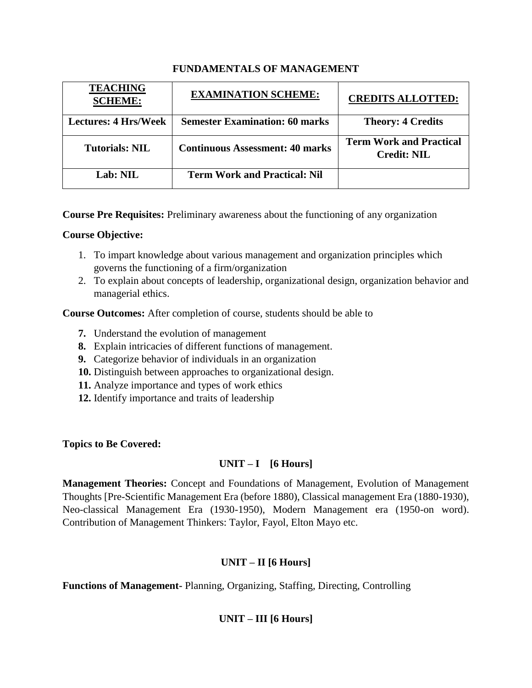## **FUNDAMENTALS OF MANAGEMENT**

| <b>TEACHING</b><br><b>SCHEME:</b> | <b>EXAMINATION SCHEME:</b>             | <b>CREDITS ALLOTTED:</b>                             |
|-----------------------------------|----------------------------------------|------------------------------------------------------|
| <b>Lectures: 4 Hrs/Week</b>       | <b>Semester Examination: 60 marks</b>  | <b>Theory: 4 Credits</b>                             |
| Tutorials: NIL                    | <b>Continuous Assessment: 40 marks</b> | <b>Term Work and Practical</b><br><b>Credit: NIL</b> |
| Lab: NIL                          | <b>Term Work and Practical: Nil</b>    |                                                      |

**Course Pre Requisites:** Preliminary awareness about the functioning of any organization

## **Course Objective:**

- 1. To impart knowledge about various management and organization principles which governs the functioning of a firm/organization
- 2. To explain about concepts of leadership, organizational design, organization behavior and managerial ethics.

**Course Outcomes:** After completion of course, students should be able to

- **7.** Understand the evolution of management
- **8.** Explain intricacies of different functions of management.
- **9.** Categorize behavior of individuals in an organization
- **10.** Distinguish between approaches to organizational design.
- **11.** Analyze importance and types of work ethics
- **12.** Identify importance and traits of leadership

**Topics to Be Covered:** 

## **UNIT – I [6 Hours]**

**Management Theories:** Concept and Foundations of Management, Evolution of Management Thoughts [Pre-Scientific Management Era (before 1880), Classical management Era (1880-1930), Neo-classical Management Era (1930-1950), Modern Management era (1950-on word). Contribution of Management Thinkers: Taylor, Fayol, Elton Mayo etc.

# **UNIT – II [6 Hours]**

**Functions of Management-** Planning, Organizing, Staffing, Directing, Controlling

# **UNIT – III [6 Hours]**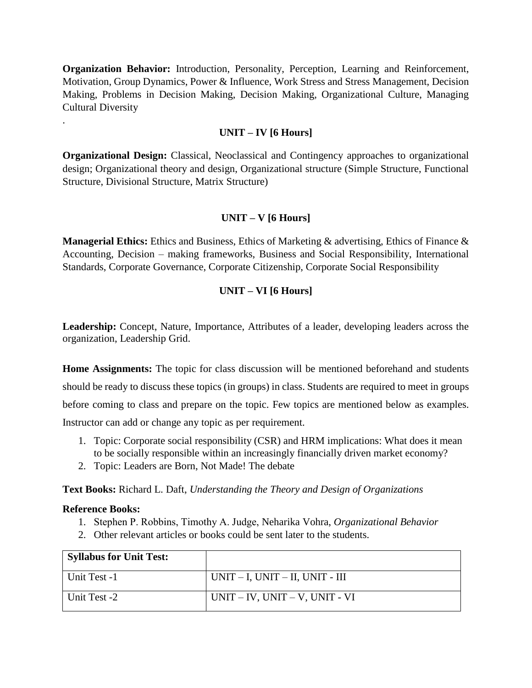**Organization Behavior:** Introduction, Personality, Perception, Learning and Reinforcement, Motivation, Group Dynamics, Power & Influence, Work Stress and Stress Management, Decision Making, Problems in Decision Making, Decision Making, Organizational Culture, Managing Cultural Diversity

## **UNIT – IV [6 Hours]**

**Organizational Design:** Classical, Neoclassical and Contingency approaches to organizational design; Organizational theory and design, Organizational structure (Simple Structure, Functional Structure, Divisional Structure, Matrix Structure)

## **UNIT – V [6 Hours]**

**Managerial Ethics:** Ethics and Business, Ethics of Marketing & advertising, Ethics of Finance & Accounting, Decision – making frameworks, Business and Social Responsibility, International Standards, Corporate Governance, Corporate Citizenship, Corporate Social Responsibility

## **UNIT – VI [6 Hours]**

**Leadership:** Concept, Nature, Importance, Attributes of a leader, developing leaders across the organization, Leadership Grid.

**Home Assignments:** The topic for class discussion will be mentioned beforehand and students should be ready to discuss these topics (in groups) in class. Students are required to meet in groups before coming to class and prepare on the topic. Few topics are mentioned below as examples. Instructor can add or change any topic as per requirement.

- 1. Topic: Corporate social responsibility (CSR) and HRM implications: What does it mean to be socially responsible within an increasingly financially driven market economy?
- 2. Topic: Leaders are Born, Not Made! The debate

**Text Books:** Richard L. Daft, *Understanding the Theory and Design of Organizations*

## **Reference Books:**

.

- 1. Stephen P. Robbins, Timothy A. Judge, Neharika Vohra, *Organizational Behavior*
- 2. Other relevant articles or books could be sent later to the students.

| <b>Syllabus for Unit Test:</b> |                                         |
|--------------------------------|-----------------------------------------|
| Unit Test -1                   | $UNIT - I$ , $UNIT - II$ , $UNIT - III$ |
| Unit Test -2                   | $UNIT - IV$ , $UNIT - V$ , $UNIT - VI$  |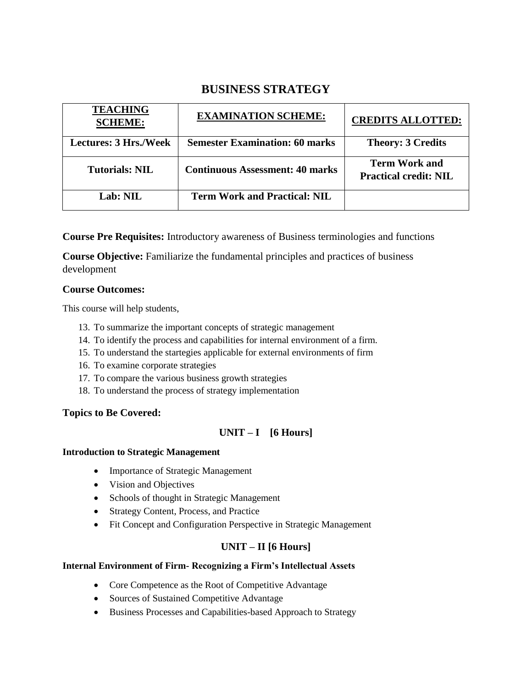# **BUSINESS STRATEGY**

| <b>TEACHING</b><br><b>SCHEME:</b> | <b>EXAMINATION SCHEME:</b>             | <b>CREDITS ALLOTTED:</b>                             |
|-----------------------------------|----------------------------------------|------------------------------------------------------|
| <b>Lectures: 3 Hrs./Week</b>      | <b>Semester Examination: 60 marks</b>  | <b>Theory: 3 Credits</b>                             |
| <b>Tutorials: NIL</b>             | <b>Continuous Assessment: 40 marks</b> | <b>Term Work and</b><br><b>Practical credit: NIL</b> |
| Lab: NIL                          | <b>Term Work and Practical: NIL</b>    |                                                      |

**Course Pre Requisites:** Introductory awareness of Business terminologies and functions

**Course Objective:** Familiarize the fundamental principles and practices of business development

## **Course Outcomes:**

This course will help students,

- 13. To summarize the important concepts of strategic management
- 14. To identify the process and capabilities for internal environment of a firm.
- 15. To understand the startegies applicable for external environments of firm
- 16. To examine corporate strategies
- 17. To compare the various business growth strategies
- 18. To understand the process of strategy implementation

#### **Topics to Be Covered:**

## **UNIT – I [6 Hours]**

#### **Introduction to Strategic Management**

- Importance of Strategic Management
- Vision and Objectives
- Schools of thought in Strategic Management
- Strategy Content, Process, and Practice
- Fit Concept and Configuration Perspective in Strategic Management

## **UNIT – II [6 Hours]**

#### **Internal Environment of Firm- Recognizing a Firm's Intellectual Assets**

- Core Competence as the Root of Competitive Advantage
- Sources of Sustained Competitive Advantage
- Business Processes and Capabilities-based Approach to Strategy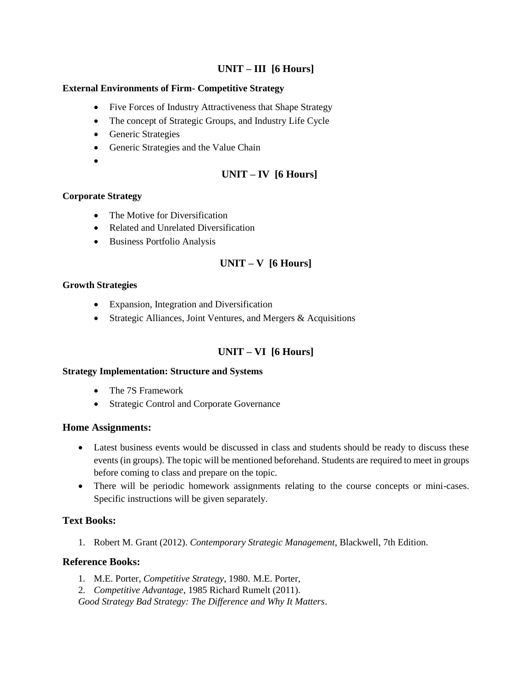## **UNIT – III [6 Hours]**

#### **External Environments of Firm- Competitive Strategy**

- Five Forces of Industry Attractiveness that Shape Strategy
- The concept of Strategic Groups, and Industry Life Cycle
- Generic Strategies
- Generic Strategies and the Value Chain
- $\bullet$

## **UNIT – IV [6 Hours]**

#### **Corporate Strategy**

- The Motive for Diversification
- Related and Unrelated Diversification
- Business Portfolio Analysis

## **UNIT – V [6 Hours]**

#### **Growth Strategies**

- Expansion, Integration and Diversification
- Strategic Alliances, Joint Ventures, and Mergers & Acquisitions

## **UNIT – VI [6 Hours]**

#### **Strategy Implementation: Structure and Systems**

- The 7S Framework
- Strategic Control and Corporate Governance

#### **Home Assignments:**

- Latest business events would be discussed in class and students should be ready to discuss these events (in groups). The topic will be mentioned beforehand. Students are required to meet in groups before coming to class and prepare on the topic.
- There will be periodic homework assignments relating to the course concepts or mini-cases. Specific instructions will be given separately.

## **Text Books:**

1. Robert M. Grant (2012). *Contemporary Strategic Management*, Blackwell, 7th Edition.

#### **Reference Books:**

- 1. M.E. Porter, *Competitive Strategy*, 1980. M.E. Porter,
- 2. *Competitive Advantage*, 1985 Richard Rumelt (2011).

*Good Strategy Bad Strategy: The Difference and Why It Matters*.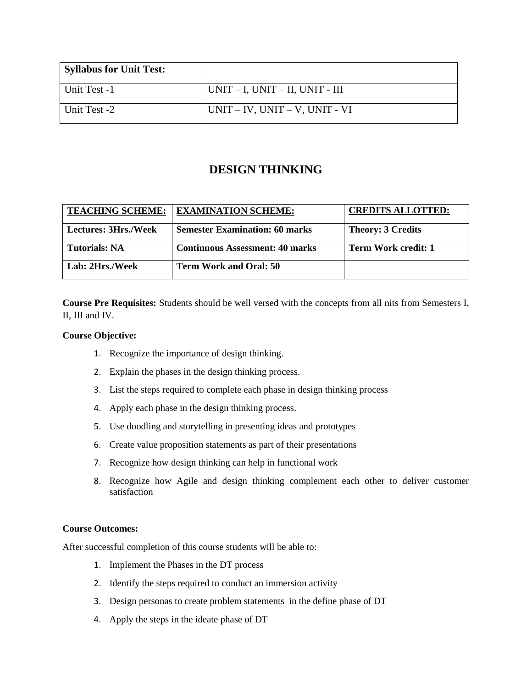| <b>Syllabus for Unit Test:</b> |                                         |
|--------------------------------|-----------------------------------------|
| Unit Test -1                   | $UNIT - I$ , $UNIT - II$ , $UNIT - III$ |
| Unit Test -2                   | $UNIT - IV$ , $UNIT - V$ , $UNIT - VI$  |

# **DESIGN THINKING**

| <b>TEACHING SCHEME:</b> | <b>EXAMINATION SCHEME:</b>             | <b>CREDITS ALLOTTED:</b> |
|-------------------------|----------------------------------------|--------------------------|
| Lectures: 3Hrs./Week    | <b>Semester Examination: 60 marks</b>  | <b>Theory: 3 Credits</b> |
| Tutorials: NA           | <b>Continuous Assessment: 40 marks</b> | Term Work credit: 1      |
| Lab: 2Hrs./Week         | <b>Term Work and Oral: 50</b>          |                          |

**Course Pre Requisites:** Students should be well versed with the concepts from all nits from Semesters I, II, III and IV.

#### **Course Objective:**

- 1. Recognize the importance of design thinking.
- 2. Explain the phases in the design thinking process.
- 3. List the steps required to complete each phase in design thinking process
- 4. Apply each phase in the design thinking process.
- 5. Use doodling and storytelling in presenting ideas and prototypes
- 6. Create value proposition statements as part of their presentations
- 7. Recognize how design thinking can help in functional work
- 8. Recognize how Agile and design thinking complement each other to deliver customer satisfaction

#### **Course Outcomes:**

After successful completion of this course students will be able to:

- 1. Implement the Phases in the DT process
- 2. Identify the steps required to conduct an immersion activity
- 3. Design personas to create problem statements in the define phase of DT
- 4. Apply the steps in the ideate phase of DT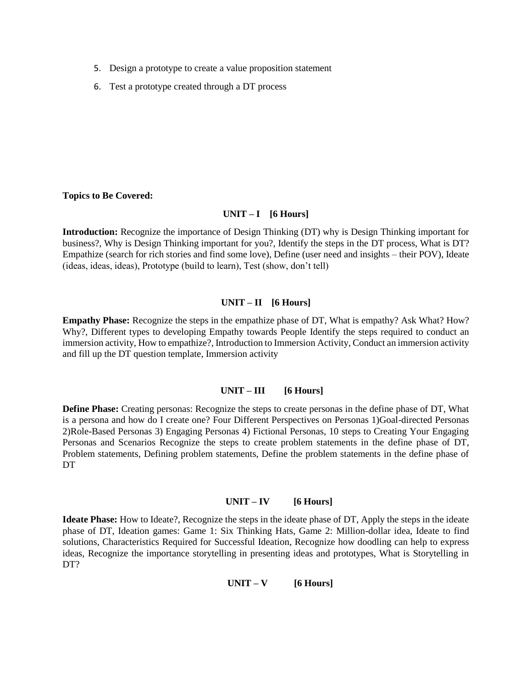- 5. Design a prototype to create a value proposition statement
- 6. Test a prototype created through a DT process

#### **Topics to Be Covered:**

#### **UNIT – I [6 Hours]**

**Introduction:** Recognize the importance of Design Thinking (DT) why is Design Thinking important for business?, Why is Design Thinking important for you?, Identify the steps in the DT process, What is DT? Empathize (search for rich stories and find some love), Define (user need and insights – their POV), Ideate (ideas, ideas, ideas), Prototype (build to learn), Test (show, don't tell)

#### **UNIT – II [6 Hours]**

**Empathy Phase:** Recognize the steps in the empathize phase of DT, What is empathy? Ask What? How? Why?, Different types to developing Empathy towards People Identify the steps required to conduct an immersion activity, How to empathize?, Introduction to Immersion Activity, Conduct an immersion activity and fill up the DT question template, Immersion activity

#### **UNIT – III [6 Hours]**

**Define Phase:** Creating personas: Recognize the steps to create personas in the define phase of DT, What is a persona and how do I create one? Four Different Perspectives on Personas 1)Goal-directed Personas 2)Role-Based Personas 3) Engaging Personas 4) Fictional Personas, 10 steps to Creating Your Engaging Personas and Scenarios Recognize the steps to create problem statements in the define phase of DT, Problem statements, Defining problem statements, Define the problem statements in the define phase of DT

#### **UNIT – IV [6 Hours]**

**Ideate Phase:** How to Ideate?, Recognize the steps in the ideate phase of DT, Apply the steps in the ideate phase of DT, Ideation games: Game 1: Six Thinking Hats, Game 2: Million-dollar idea, Ideate to find solutions, Characteristics Required for Successful Ideation, Recognize how doodling can help to express ideas, Recognize the importance storytelling in presenting ideas and prototypes, What is Storytelling in DT?

 $UNIT - V$  [6 Hours]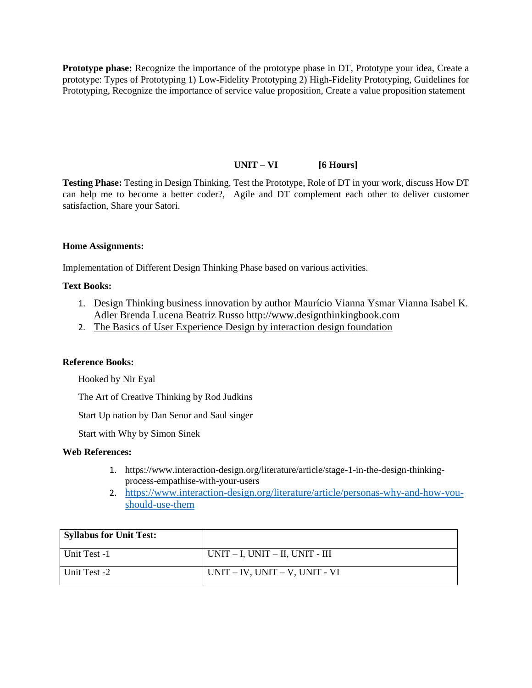**Prototype phase:** Recognize the importance of the prototype phase in DT, Prototype your idea, Create a prototype: Types of Prototyping 1) Low-Fidelity Prototyping 2) High-Fidelity Prototyping, Guidelines for Prototyping, Recognize the importance of service value proposition, Create a value proposition statement

#### **UNIT – VI [6 Hours]**

**Testing Phase:** Testing in Design Thinking, Test the Prototype, Role of DT in your work, discuss How DT can help me to become a better coder?, Agile and DT complement each other to deliver customer satisfaction, Share your Satori.

#### **Home Assignments:**

Implementation of Different Design Thinking Phase based on various activities.

#### **Text Books:**

- 1. Design Thinking business innovation by author Maurício Vianna Ysmar Vianna Isabel K. Adler Brenda Lucena Beatriz Russo http://www.designthinkingbook.com
- 2. The Basics of User Experience Design by interaction design foundation

#### **Reference Books:**

Hooked by Nir Eyal

The Art of Creative Thinking by Rod Judkins

Start Up nation by Dan Senor and Saul singer

Start with Why by Simon Sinek

#### **Web References:**

- 1. https://www.interaction-design.org/literature/article/stage-1-in-the-design-thinkingprocess-empathise-with-your-users
- 2. https://www.interaction-design.org/literature/article/personas-why-and-how-youshould-use-them

| <b>Syllabus for Unit Test:</b> |                                         |
|--------------------------------|-----------------------------------------|
| Unit Test -1                   | $UNIT - I$ , $UNIT - II$ , $UNIT - III$ |
| Unit Test -2                   | $UNIT - IV$ , $UNIT - V$ , $UNIT - VI$  |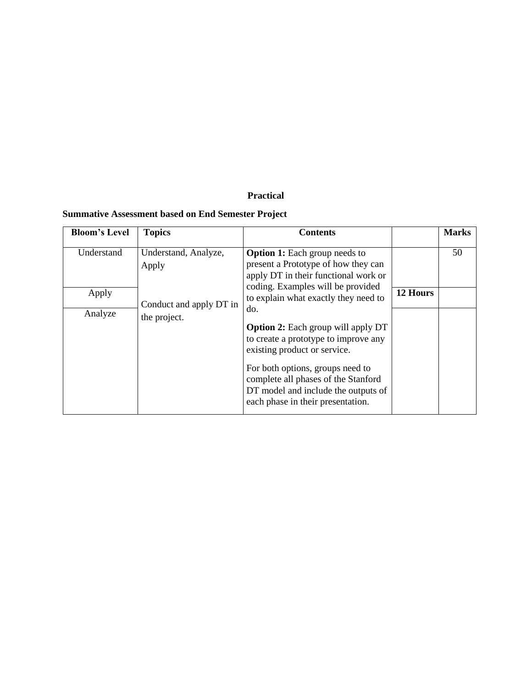# **Practical**

## **Summative Assessment based on End Semester Project**

| <b>Bloom's Level</b>           | <b>Topics</b>                                                            | <b>Contents</b>                                                                                                                                                                                                                                                                                                                                                                                                                                                                     |          | <b>Marks</b> |
|--------------------------------|--------------------------------------------------------------------------|-------------------------------------------------------------------------------------------------------------------------------------------------------------------------------------------------------------------------------------------------------------------------------------------------------------------------------------------------------------------------------------------------------------------------------------------------------------------------------------|----------|--------------|
| Understand<br>Apply<br>Analyze | Understand, Analyze,<br>Apply<br>Conduct and apply DT in<br>the project. | <b>Option 1:</b> Each group needs to<br>present a Prototype of how they can<br>apply DT in their functional work or<br>coding. Examples will be provided<br>to explain what exactly they need to<br>do.<br><b>Option 2:</b> Each group will apply DT<br>to create a prototype to improve any<br>existing product or service.<br>For both options, groups need to<br>complete all phases of the Stanford<br>DT model and include the outputs of<br>each phase in their presentation. | 12 Hours | 50           |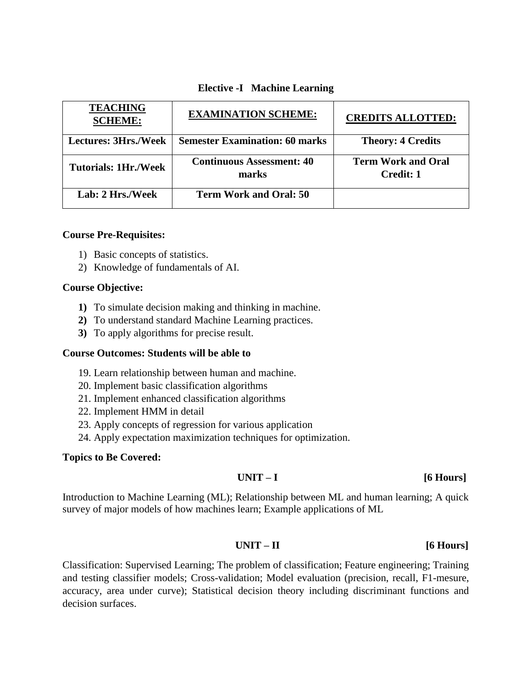| <b>TEACHING</b><br><b>SCHEME:</b> | <b>EXAMINATION SCHEME:</b>                | <b>CREDITS ALLOTTED:</b>                      |
|-----------------------------------|-------------------------------------------|-----------------------------------------------|
| <b>Lectures: 3Hrs./Week</b>       | <b>Semester Examination: 60 marks</b>     | <b>Theory: 4 Credits</b>                      |
| <b>Tutorials: 1Hr./Week</b>       | <b>Continuous Assessment: 40</b><br>marks | <b>Term Work and Oral</b><br><b>Credit: 1</b> |
| Lab: 2 Hrs./Week                  | <b>Term Work and Oral: 50</b>             |                                               |

## **Elective -I Machine Learning**

#### **Course Pre-Requisites:**

- 1) Basic concepts of statistics.
- 2) Knowledge of fundamentals of AI.

#### **Course Objective:**

- **1)** To simulate decision making and thinking in machine.
- **2)** To understand standard Machine Learning practices.
- **3)** To apply algorithms for precise result.

#### **Course Outcomes: Students will be able to**

- 19. Learn relationship between human and machine.
- 20. Implement basic classification algorithms
- 21. Implement enhanced classification algorithms
- 22. Implement HMM in detail
- 23. Apply concepts of regression for various application
- 24. Apply expectation maximization techniques for optimization.

#### **Topics to Be Covered:**

#### **UNIT – I [6 Hours]**

Introduction to Machine Learning (ML); Relationship between ML and human learning; A quick survey of major models of how machines learn; Example applications of ML

## **UNIT – II [6 Hours]**

Classification: Supervised Learning; The problem of classification; Feature engineering; Training and testing classifier models; Cross-validation; Model evaluation (precision, recall, F1-mesure, accuracy, area under curve); Statistical decision theory including discriminant functions and decision surfaces.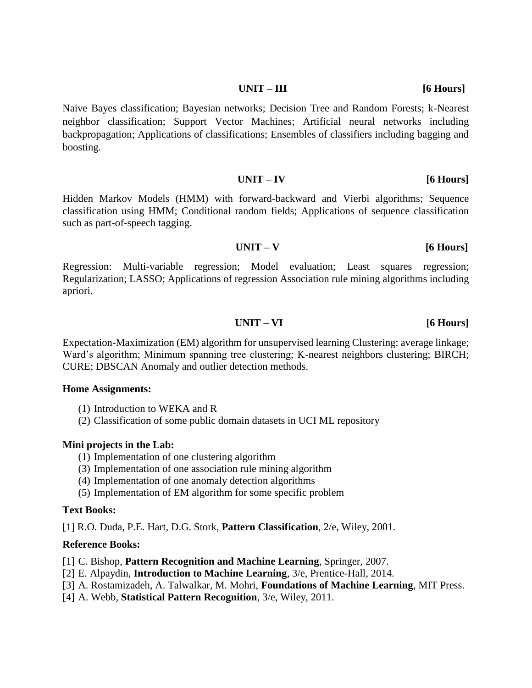#### **UNIT – III** [6 Hours]

Naive Bayes classification; Bayesian networks; Decision Tree and Random Forests; k-Nearest neighbor classification; Support Vector Machines; Artificial neural networks including backpropagation; Applications of classifications; Ensembles of classifiers including bagging and boosting.

## **UNIT – IV [6 Hours]**

Hidden Markov Models (HMM) with forward-backward and Vierbi algorithms; Sequence classification using HMM; Conditional random fields; Applications of sequence classification such as part-of-speech tagging.

## **UNIT – V [6 Hours]**

Regression: Multi-variable regression; Model evaluation; Least squares regression; Regularization; LASSO; Applications of regression Association rule mining algorithms including apriori.

## **UNIT – VI [6 Hours]**

Expectation-Maximization (EM) algorithm for unsupervised learning Clustering: average linkage; Ward's algorithm; Minimum spanning tree clustering; K-nearest neighbors clustering; BIRCH; CURE; DBSCAN Anomaly and outlier detection methods.

#### **Home Assignments:**

- (1) Introduction to WEKA and R
- (2) Classification of some public domain datasets in UCI ML repository

#### **Mini projects in the Lab:**

- (1) Implementation of one clustering algorithm
- (3) Implementation of one association rule mining algorithm
- (4) Implementation of one anomaly detection algorithms
- (5) Implementation of EM algorithm for some specific problem

#### **Text Books:**

[1] R.O. Duda, P.E. Hart, D.G. Stork, **Pattern Classification**, 2/e, Wiley, 2001.

#### **Reference Books:**

- [1] C. Bishop, **Pattern Recognition and Machine Learning**, Springer, 2007.
- [2] E. Alpaydin, **Introduction to Machine Learning**, 3/e, Prentice-Hall, 2014.
- [3] A. Rostamizadeh, A. Talwalkar, M. Mohri, **Foundations of Machine Learning**, MIT Press.
- [4] A. Webb, **Statistical Pattern Recognition**, 3/e, Wiley, 2011.